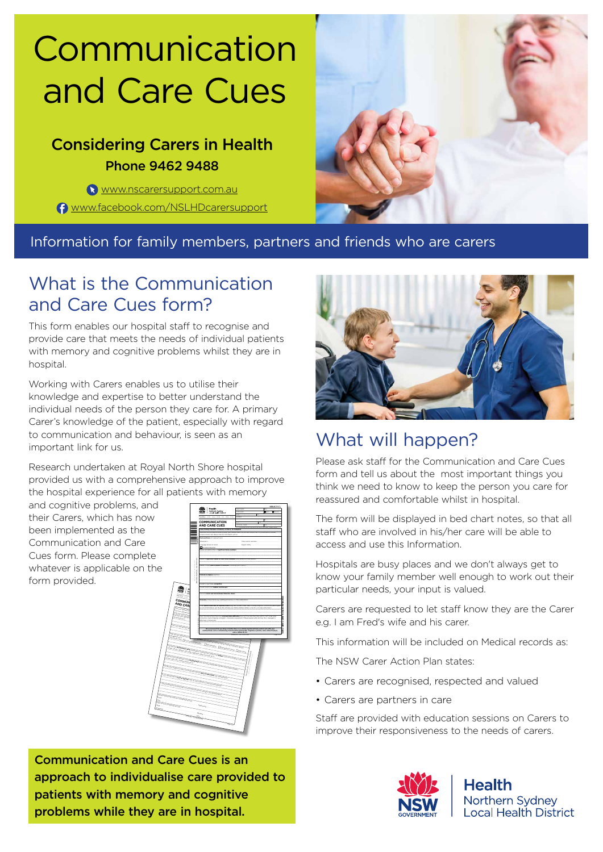# Communication and Care Cues

## Considering Carers in Health Phone 9462 9488

<www.nscarersupport.com.au> <www.facebook.com/NSLHDcarersupport>



### Information for family members, partners and friends who are carers

## What is the Communication and Care Cues form?

This form enables our hospital staff to recognise and provide care that meets the needs of individual patients with memory and cognitive problems whilst they are in hospital.

Working with Carers enables us to utilise their knowledge and expertise to better understand the individual needs of the person they care for. A primary Carer's knowledge of the patient, especially with regard to communication and behaviour, is seen as an important link for us.

Research undertaken at Royal North Shore hospital provided us with a comprehensive approach to improve the hospital experience for all patients with memory

and cognitive problems, and their Carers, which has now been implemented as the Communication and Care Cues form. Please complete whatever is applicable on the form provided.



Communication and Care Cues is an approach to individualise care provided to patients with memory and cognitive problems while they are in hospital.



## What will happen?

Please ask staff for the Communication and Care Cues form and tell us about the most important things you think we need to know to keep the person you care for reassured and comfortable whilst in hospital.

The form will be displayed in bed chart notes, so that all staff who are involved in his/her care will be able to access and use this Information.

Hospitals are busy places and we don't always get to know your family member well enough to work out their particular needs, your input is valued.

Carers are requested to let staff know they are the Carer e.g. I am Fred's wife and his carer.

This information will be included on Medical records as:

The NSW Carer Action Plan states:

- Carers are recognised, respected and valued
- Carers are partners in care

Staff are provided with education sessions on Carers to improve their responsiveness to the needs of carers.



**Health** Northern Sydney **Local Health District**